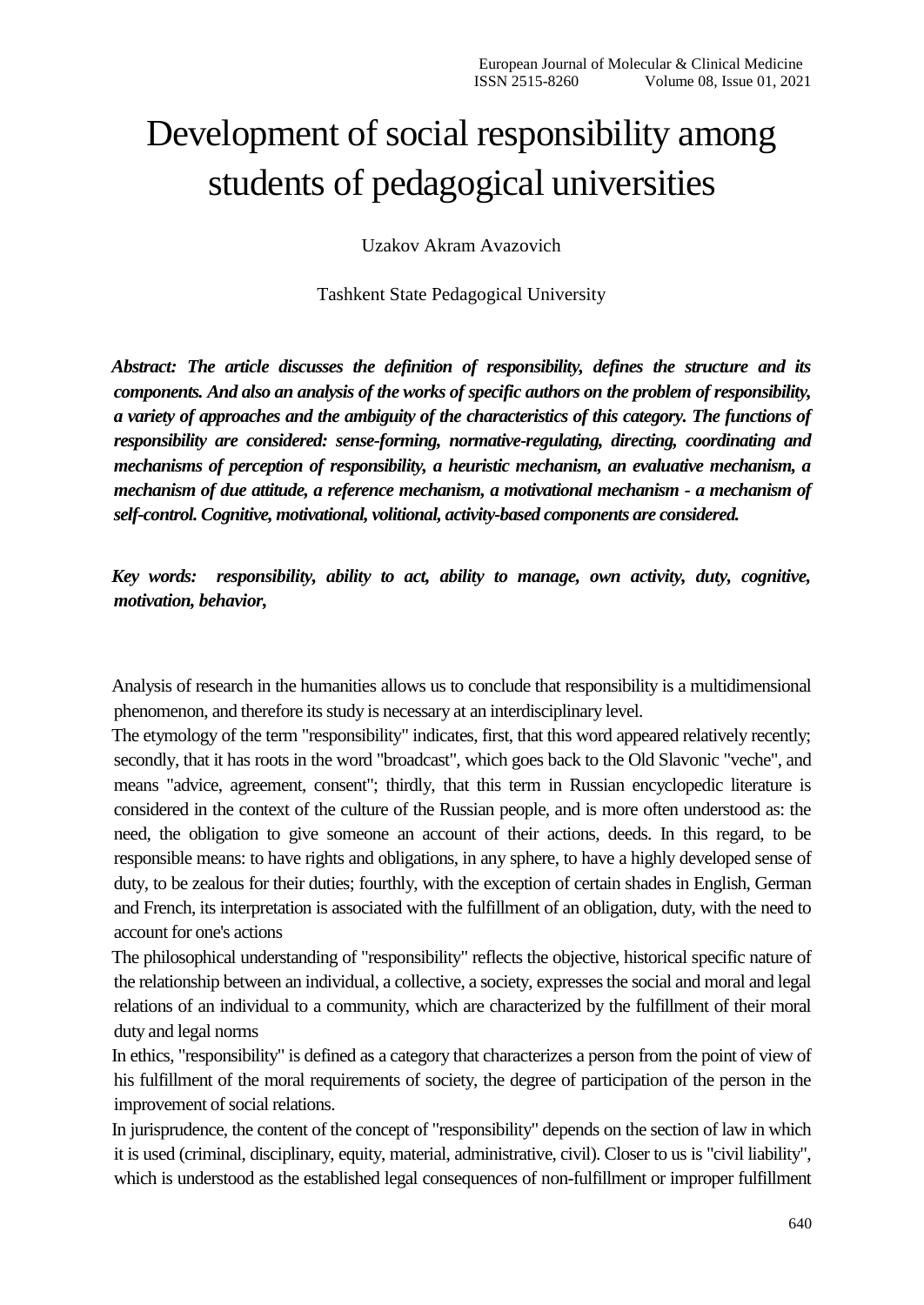## Development of social responsibility among students of pedagogical universities

Uzakov Akram Avazovich

Tashkent State Pedagogical University

*Abstract: The article discusses the definition of responsibility, defines the structure and its components. And also an analysis of the works of specific authors on the problem of responsibility, a variety of approaches and the ambiguity of the characteristics of this category. The functions of responsibility are considered: sense-forming, normative-regulating, directing, coordinating and mechanisms of perception of responsibility, a heuristic mechanism, an evaluative mechanism, a mechanism of due attitude, a reference mechanism, a motivational mechanism - a mechanism of self-control. Cognitive, motivational, volitional, activity-based components are considered.*

*Key words: responsibility, ability to act, ability to manage, own activity, duty, cognitive, motivation, behavior,*

Analysis of research in the humanities allows us to conclude that responsibility is a multidimensional phenomenon, and therefore its study is necessary at an interdisciplinary level.

The etymology of the term "responsibility" indicates, first, that this word appeared relatively recently; secondly, that it has roots in the word "broadcast", which goes back to the Old Slavonic "veche", and means "advice, agreement, consent"; thirdly, that this term in Russian encyclopedic literature is considered in the context of the culture of the Russian people, and is more often understood as: the need, the obligation to give someone an account of their actions, deeds. In this regard, to be responsible means: to have rights and obligations, in any sphere, to have a highly developed sense of duty, to be zealous for their duties; fourthly, with the exception of certain shades in English, German and French, its interpretation is associated with the fulfillment of an obligation, duty, with the need to account for one's actions

The philosophical understanding of "responsibility" reflects the objective, historical specific nature of the relationship between an individual, a collective, a society, expresses the social and moral and legal relations of an individual to a community, which are characterized by the fulfillment of their moral duty and legal norms

In ethics, "responsibility" is defined as a category that characterizes a person from the point of view of his fulfillment of the moral requirements of society, the degree of participation of the person in the improvement of social relations.

In jurisprudence, the content of the concept of "responsibility" depends on the section of law in which it is used (criminal, disciplinary, equity, material, administrative, civil). Closer to us is "civil liability", which is understood as the established legal consequences of non-fulfillment or improper fulfillment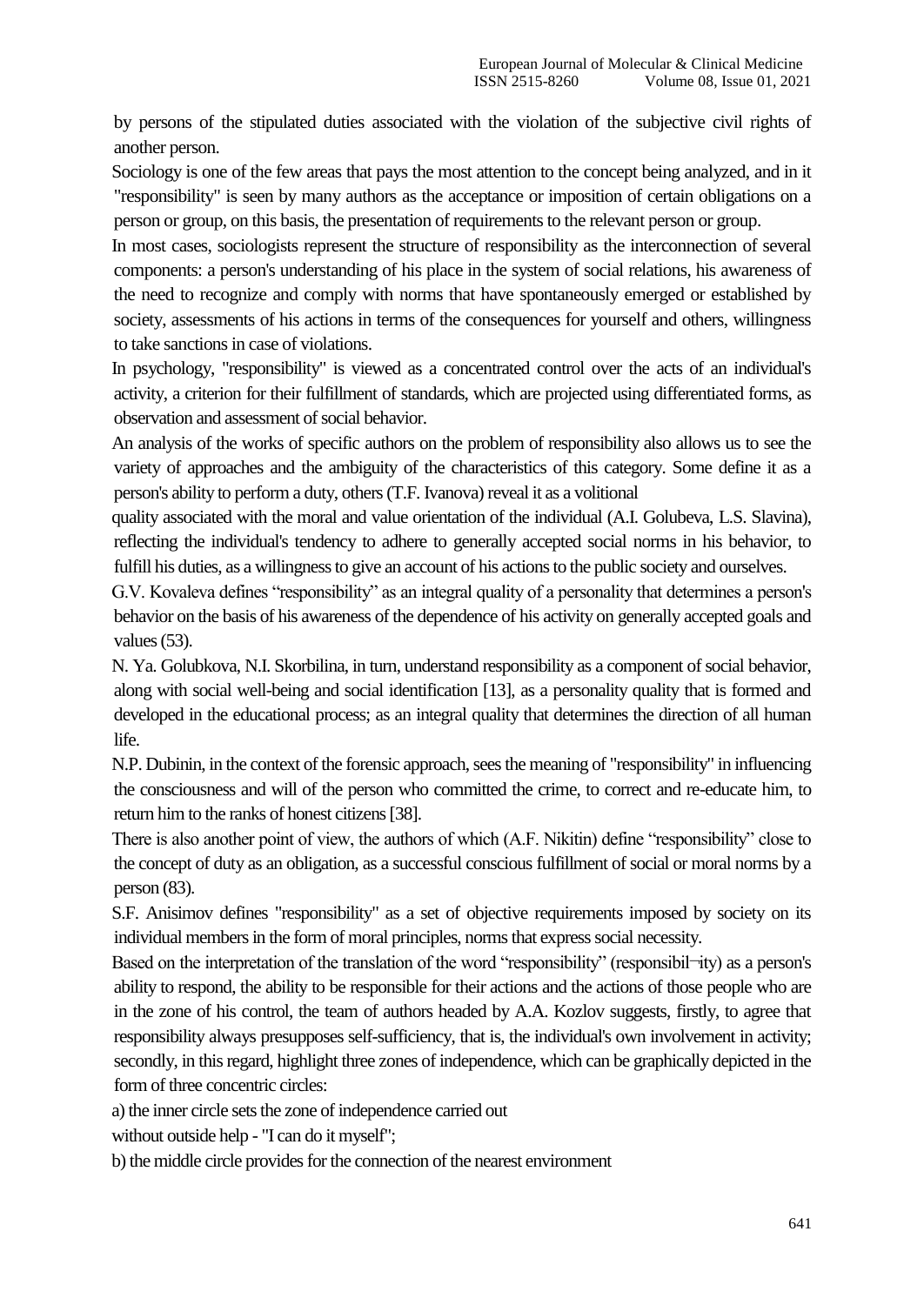by persons of the stipulated duties associated with the violation of the subjective civil rights of another person.

Sociology is one of the few areas that pays the most attention to the concept being analyzed, and in it "responsibility" is seen by many authors as the acceptance or imposition of certain obligations on a person or group, on this basis, the presentation of requirements to the relevant person or group.

In most cases, sociologists represent the structure of responsibility as the interconnection of several components: a person's understanding of his place in the system of social relations, his awareness of the need to recognize and comply with norms that have spontaneously emerged or established by society, assessments of his actions in terms of the consequences for yourself and others, willingness to take sanctions in case of violations.

In psychology, "responsibility" is viewed as a concentrated control over the acts of an individual's activity, a criterion for their fulfillment of standards, which are projected using differentiated forms, as observation and assessment of social behavior.

An analysis of the works of specific authors on the problem of responsibility also allows us to see the variety of approaches and the ambiguity of the characteristics of this category. Some define it as a person's ability to perform a duty, others (T.F. Ivanova) reveal it as a volitional

quality associated with the moral and value orientation of the individual (A.I. Golubeva, L.S. Slavina), reflecting the individual's tendency to adhere to generally accepted social norms in his behavior, to fulfill his duties, as a willingness to give an account of his actions to the public society and ourselves.

G.V. Kovaleva defines "responsibility" as an integral quality of a personality that determines a person's behavior on the basis of his awareness of the dependence of his activity on generally accepted goals and values (53).

N. Ya. Golubkova, N.I. Skorbilina, in turn, understand responsibility as a component of social behavior, along with social well-being and social identification [13], as a personality quality that is formed and developed in the educational process; as an integral quality that determines the direction of all human life.

N.P. Dubinin, in the context of the forensic approach, sees the meaning of "responsibility" in influencing the consciousness and will of the person who committed the crime, to correct and re-educate him, to return him to the ranks of honest citizens [38].

There is also another point of view, the authors of which (A.F. Nikitin) define "responsibility" close to the concept of duty as an obligation, as a successful conscious fulfillment of social or moral norms by a person (83).

S.F. Anisimov defines "responsibility" as a set of objective requirements imposed by society on its individual members in the form of moral principles, norms that express social necessity.

Based on the interpretation of the translation of the word "responsibility" (responsibil—ity) as a person's ability to respond, the ability to be responsible for their actions and the actions of those people who are in the zone of his control, the team of authors headed by A.A. Kozlov suggests, firstly, to agree that responsibility always presupposes self-sufficiency, that is, the individual's own involvement in activity; secondly, in this regard, highlight three zones of independence, which can be graphically depicted in the form of three concentric circles:

a) the inner circle sets the zone of independence carried out

without outside help - "I can do it myself";

b) the middle circle provides for the connection of the nearest environment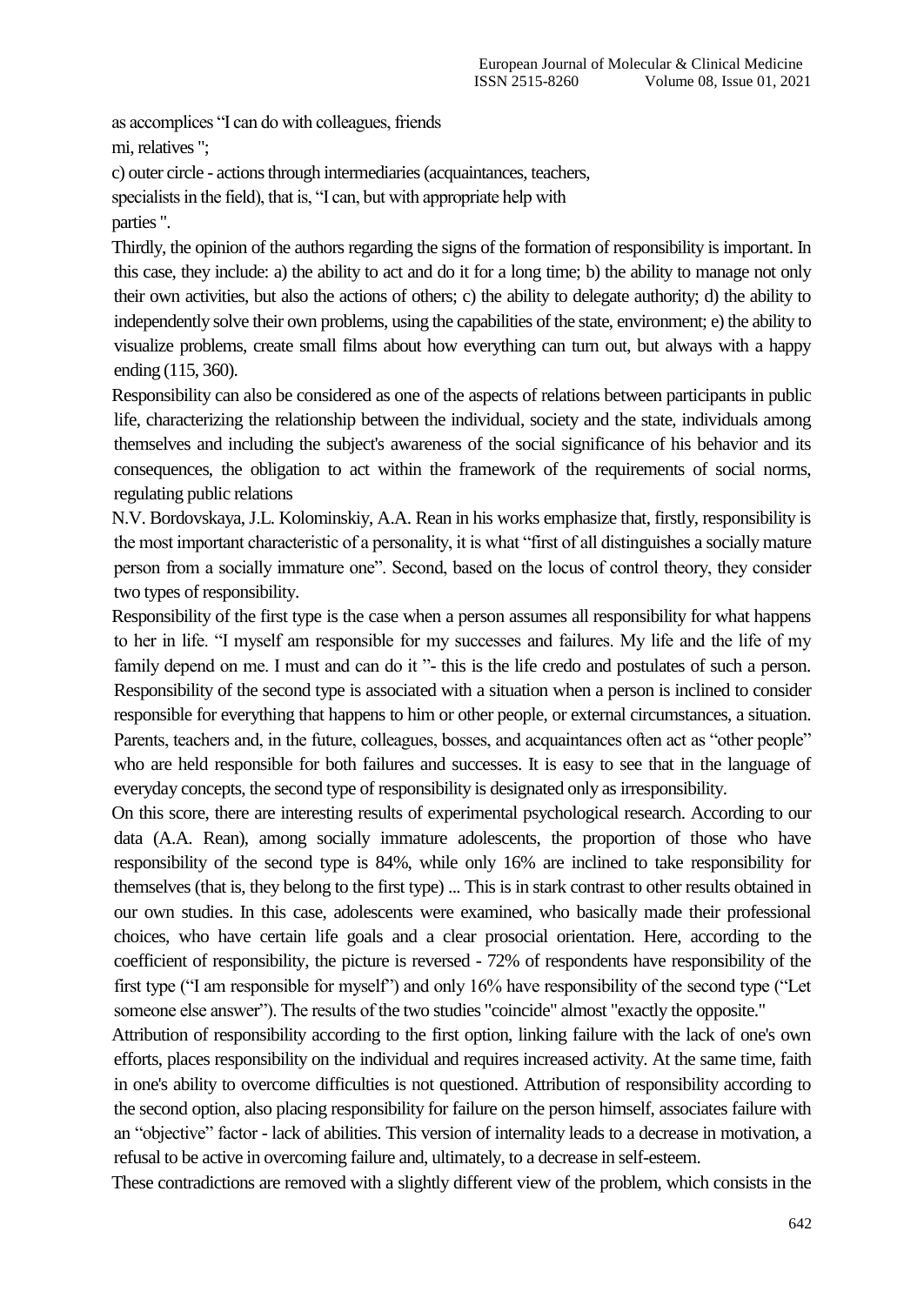as accomplices "I can do with colleagues, friends mi, relatives ";

c) outer circle - actions through intermediaries (acquaintances, teachers,

specialists in the field), that is, "I can, but with appropriate help with parties ".

Thirdly, the opinion of the authors regarding the signs of the formation of responsibility is important. In this case, they include: a) the ability to act and do it for a long time; b) the ability to manage not only their own activities, but also the actions of others; c) the ability to delegate authority; d) the ability to independently solve their own problems, using the capabilities of the state, environment; e) the ability to visualize problems, create small films about how everything can turn out, but always with a happy ending (115, 360).

Responsibility can also be considered as one of the aspects of relations between participants in public life, characterizing the relationship between the individual, society and the state, individuals among themselves and including the subject's awareness of the social significance of his behavior and its consequences, the obligation to act within the framework of the requirements of social norms, regulating public relations

N.V. Bordovskaya, J.L. Kolominskiy, A.A. Rean in his works emphasize that, firstly, responsibility is the most important characteristic of a personality, it is what "first of all distinguishes a socially mature person from a socially immature one". Second, based on the locus of control theory, they consider two types of responsibility.

Responsibility of the first type is the case when a person assumes all responsibility for what happens to her in life. "I myself am responsible for my successes and failures. My life and the life of my family depend on me. I must and can do it "- this is the life credo and postulates of such a person. Responsibility of the second type is associated with a situation when a person is inclined to consider responsible for everything that happens to him or other people, or external circumstances, a situation. Parents, teachers and, in the future, colleagues, bosses, and acquaintances often act as "other people" who are held responsible for both failures and successes. It is easy to see that in the language of everyday concepts, the second type of responsibility is designated only as irresponsibility.

On this score, there are interesting results of experimental psychological research. According to our data (A.A. Rean), among socially immature adolescents, the proportion of those who have responsibility of the second type is 84%, while only 16% are inclined to take responsibility for themselves (that is, they belong to the first type) ... This is in stark contrast to other results obtained in our own studies. In this case, adolescents were examined, who basically made their professional choices, who have certain life goals and a clear prosocial orientation. Here, according to the coefficient of responsibility, the picture is reversed - 72% of respondents have responsibility of the first type ("I am responsible for myself") and only 16% have responsibility of the second type ("Let someone else answer"). The results of the two studies "coincide" almost "exactly the opposite."

Attribution of responsibility according to the first option, linking failure with the lack of one's own efforts, places responsibility on the individual and requires increased activity. At the same time, faith in one's ability to overcome difficulties is not questioned. Attribution of responsibility according to the second option, also placing responsibility for failure on the person himself, associates failure with an "objective" factor - lack of abilities. This version of internality leads to a decrease in motivation, a refusal to be active in overcoming failure and, ultimately, to a decrease in self-esteem.

These contradictions are removed with a slightly different view of the problem, which consists in the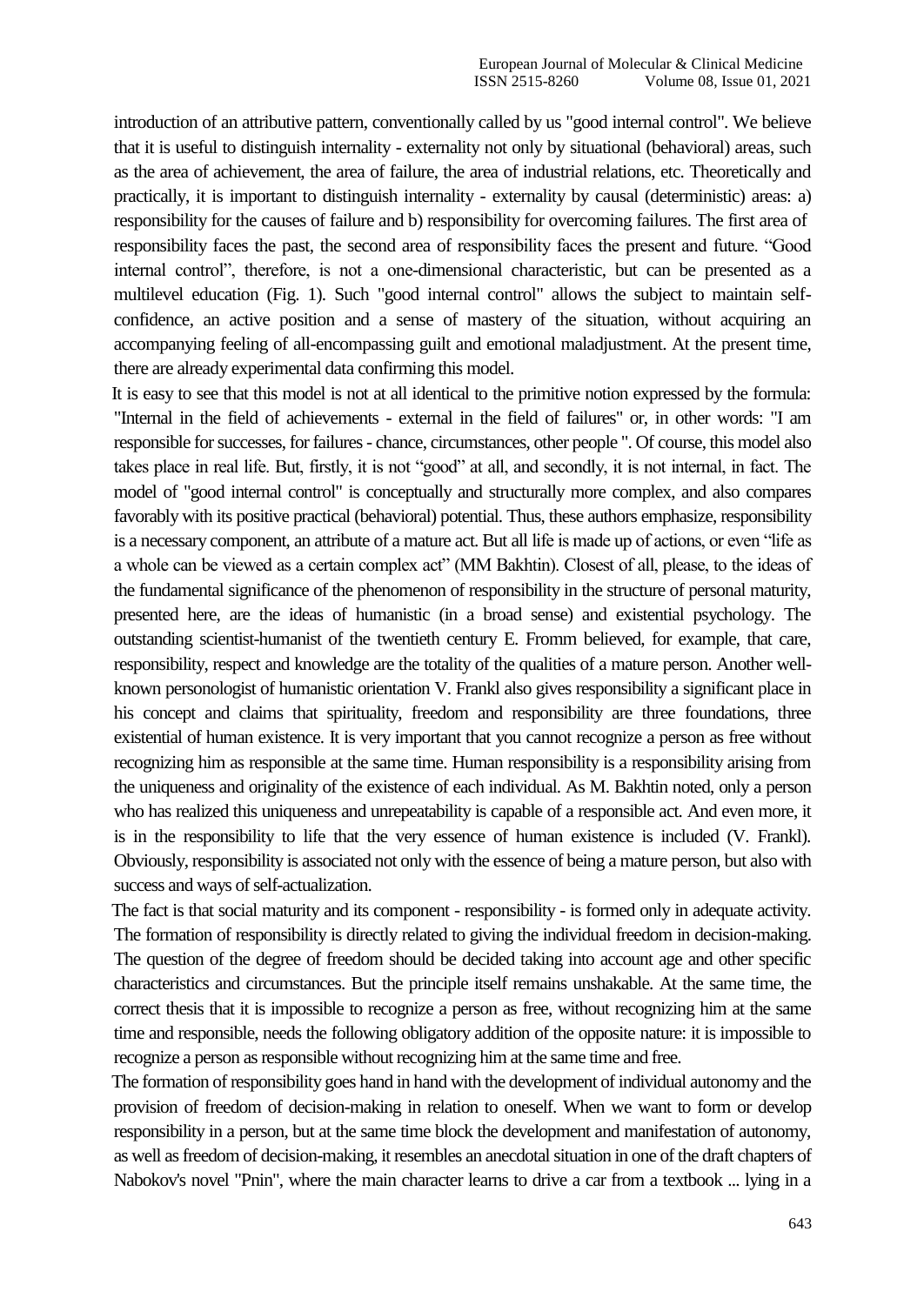introduction of an attributive pattern, conventionally called by us "good internal control". We believe that it is useful to distinguish internality - externality not only by situational (behavioral) areas, such as the area of achievement, the area of failure, the area of industrial relations, etc. Theoretically and practically, it is important to distinguish internality - externality by causal (deterministic) areas: a) responsibility for the causes of failure and b) responsibility for overcoming failures. The first area of responsibility faces the past, the second area of responsibility faces the present and future. "Good internal control", therefore, is not a one-dimensional characteristic, but can be presented as a multilevel education (Fig. 1). Such "good internal control" allows the subject to maintain selfconfidence, an active position and a sense of mastery of the situation, without acquiring an accompanying feeling of all-encompassing guilt and emotional maladjustment. At the present time, there are already experimental data confirming this model.

It is easy to see that this model is not at all identical to the primitive notion expressed by the formula: "Internal in the field of achievements - external in the field of failures" or, in other words: "I am responsible for successes, for failures - chance, circumstances, other people ". Of course, this model also takes place in real life. But, firstly, it is not "good" at all, and secondly, it is not internal, in fact. The model of "good internal control" is conceptually and structurally more complex, and also compares favorably with its positive practical (behavioral) potential. Thus, these authors emphasize, responsibility is a necessary component, an attribute of a mature act. But all life is made up of actions, or even "life as a whole can be viewed as a certain complex act" (MM Bakhtin). Closest of all, please, to the ideas of the fundamental significance of the phenomenon of responsibility in the structure of personal maturity, presented here, are the ideas of humanistic (in a broad sense) and existential psychology. The outstanding scientist-humanist of the twentieth century E. Fromm believed, for example, that care, responsibility, respect and knowledge are the totality of the qualities of a mature person. Another wellknown personologist of humanistic orientation V. Frankl also gives responsibility a significant place in his concept and claims that spirituality, freedom and responsibility are three foundations, three existential of human existence. It is very important that you cannot recognize a person as free without recognizing him as responsible at the same time. Human responsibility is a responsibility arising from the uniqueness and originality of the existence of each individual. As M. Bakhtin noted, only a person who has realized this uniqueness and unrepeatability is capable of a responsible act. And even more, it is in the responsibility to life that the very essence of human existence is included (V. Frankl). Obviously, responsibility is associated not only with the essence of being a mature person, but also with success and ways of self-actualization.

The fact is that social maturity and its component - responsibility - is formed only in adequate activity. The formation of responsibility is directly related to giving the individual freedom in decision-making. The question of the degree of freedom should be decided taking into account age and other specific characteristics and circumstances. But the principle itself remains unshakable. At the same time, the correct thesis that it is impossible to recognize a person as free, without recognizing him at the same time and responsible, needs the following obligatory addition of the opposite nature: it is impossible to recognize a person as responsible without recognizing him at the same time and free.

The formation of responsibility goes hand in hand with the development of individual autonomy and the provision of freedom of decision-making in relation to oneself. When we want to form or develop responsibility in a person, but at the same time block the development and manifestation of autonomy, as well as freedom of decision-making, it resembles an anecdotal situation in one of the draft chapters of Nabokov's novel "Pnin", where the main character learns to drive a car from a textbook ... lying in a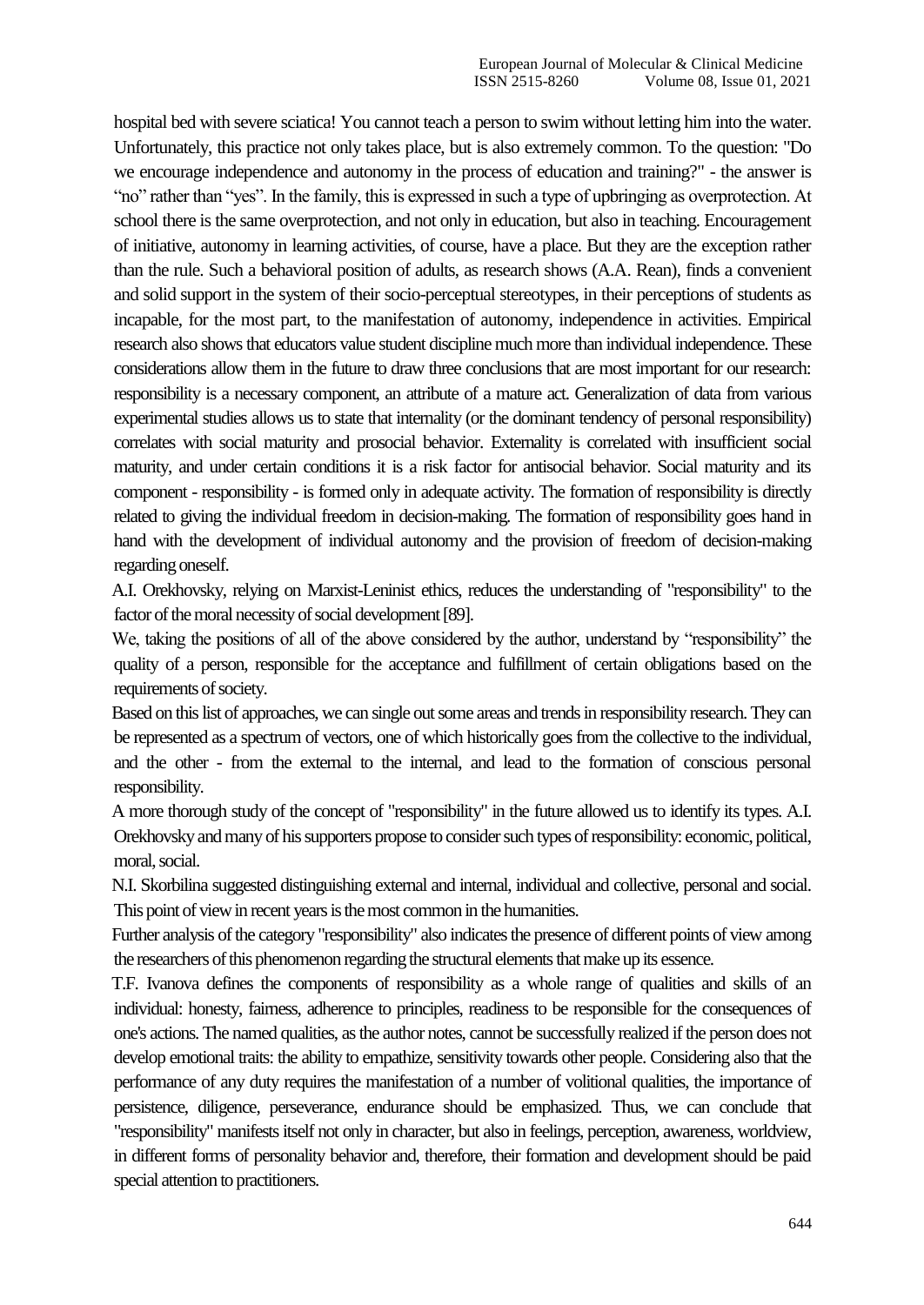hospital bed with severe sciatica! You cannot teach a person to swim without letting him into the water. Unfortunately, this practice not only takes place, but is also extremely common. To the question: "Do we encourage independence and autonomy in the process of education and training?" - the answer is "no" rather than "yes". In the family, this is expressed in such a type of upbringing as overprotection. At school there is the same overprotection, and not only in education, but also in teaching. Encouragement of initiative, autonomy in learning activities, of course, have a place. But they are the exception rather than the rule. Such a behavioral position of adults, as research shows (A.A. Rean), finds a convenient and solid support in the system of their socio-perceptual stereotypes, in their perceptions of students as incapable, for the most part, to the manifestation of autonomy, independence in activities. Empirical research also shows that educators value student discipline much more than individual independence. These considerations allow them in the future to draw three conclusions that are most important for our research: responsibility is a necessary component, an attribute of a mature act. Generalization of data from various experimental studies allows us to state that internality (or the dominant tendency of personal responsibility) correlates with social maturity and prosocial behavior. Externality is correlated with insufficient social maturity, and under certain conditions it is a risk factor for antisocial behavior. Social maturity and its component - responsibility - is formed only in adequate activity. The formation of responsibility is directly related to giving the individual freedom in decision-making. The formation of responsibility goes hand in hand with the development of individual autonomy and the provision of freedom of decision-making regarding oneself.

A.I. Orekhovsky, relying on Marxist-Leninist ethics, reduces the understanding of "responsibility" to the factor of the moral necessity of social development [89].

We, taking the positions of all of the above considered by the author, understand by "responsibility" the quality of a person, responsible for the acceptance and fulfillment of certain obligations based on the requirements of society.

Based on this list of approaches, we can single out some areas and trends in responsibility research. They can be represented as a spectrum of vectors, one of which historically goes from the collective to the individual, and the other - from the external to the internal, and lead to the formation of conscious personal responsibility.

A more thorough study of the concept of "responsibility" in the future allowed us to identify its types. A.I. Orekhovsky and many of his supporters propose to consider such types of responsibility: economic, political, moral, social.

N.I. Skorbilina suggested distinguishing external and internal, individual and collective, personal and social. This point of view in recent years is the most common in the humanities.

Further analysis of the category "responsibility" also indicates the presence of different points of view among the researchers of this phenomenon regarding the structural elements that make up its essence.

T.F. Ivanova defines the components of responsibility as a whole range of qualities and skills of an individual: honesty, fairness, adherence to principles, readiness to be responsible for the consequences of one's actions. The named qualities, as the author notes, cannot be successfully realized if the person does not develop emotional traits: the ability to empathize, sensitivity towards other people. Considering also that the performance of any duty requires the manifestation of a number of volitional qualities, the importance of persistence, diligence, perseverance, endurance should be emphasized. Thus, we can conclude that "responsibility" manifests itself not only in character, but also in feelings, perception, awareness, worldview, in different forms of personality behavior and, therefore, their formation and development should be paid special attention to practitioners.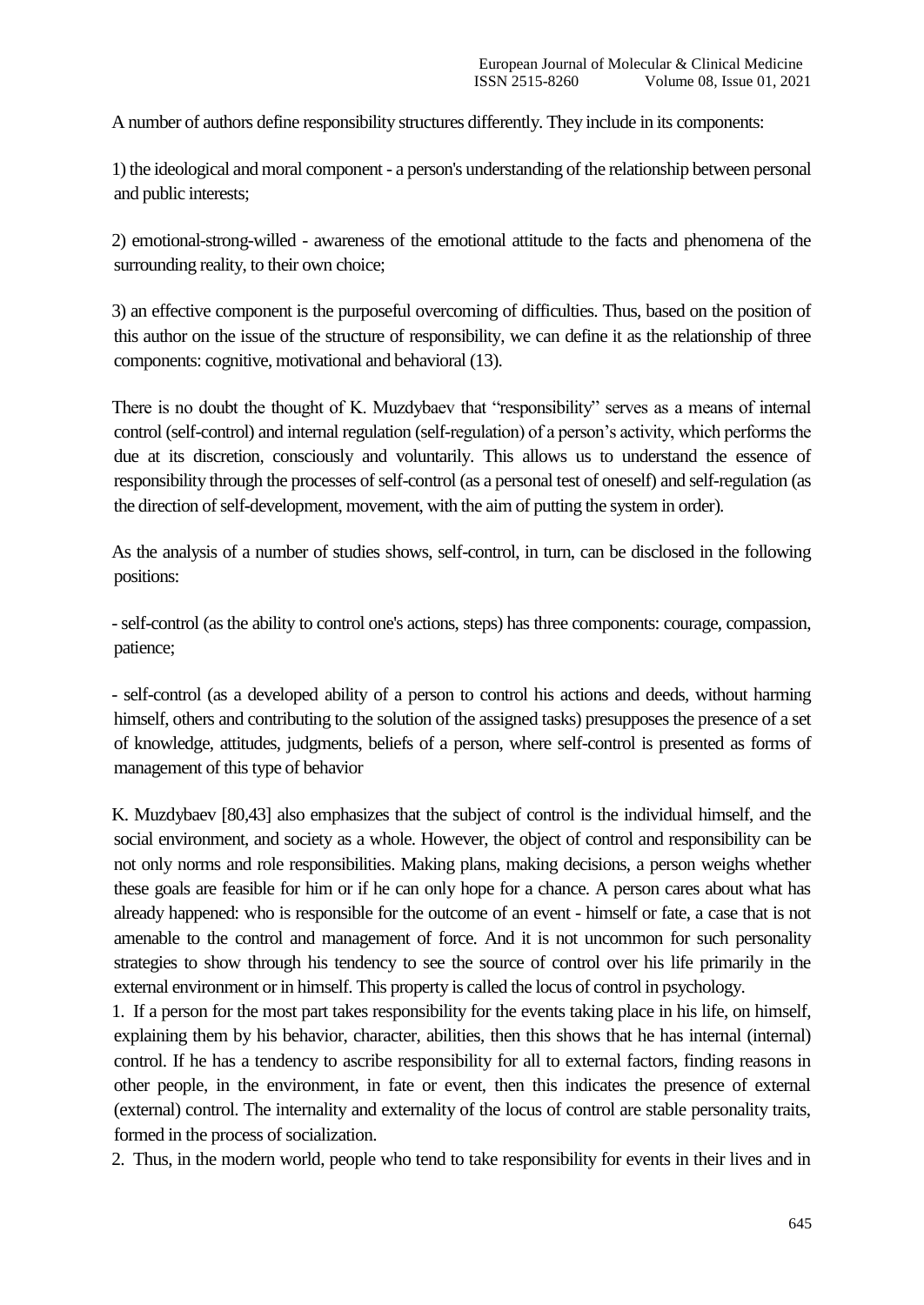A number of authors define responsibility structures differently. They include in its components:

1) the ideological and moral component - a person's understanding of the relationship between personal and public interests;

2) emotional-strong-willed - awareness of the emotional attitude to the facts and phenomena of the surrounding reality, to their own choice;

3) an effective component is the purposeful overcoming of difficulties. Thus, based on the position of this author on the issue of the structure of responsibility, we can define it as the relationship of three components: cognitive, motivational and behavioral (13).

There is no doubt the thought of K. Muzdybaev that "responsibility" serves as a means of internal control (self-control) and internal regulation (self-regulation) of a person's activity, which performs the due at its discretion, consciously and voluntarily. This allows us to understand the essence of responsibility through the processes of self-control (as a personal test of oneself) and self-regulation (as the direction of self-development, movement, with the aim of putting the system in order).

As the analysis of a number of studies shows, self-control, in turn, can be disclosed in the following positions:

-self-control (as the ability to control one's actions, steps) has three components: courage, compassion, patience;

- self-control (as a developed ability of a person to control his actions and deeds, without harming himself, others and contributing to the solution of the assigned tasks) presupposes the presence of a set of knowledge, attitudes, judgments, beliefs of a person, where self-control is presented as forms of management of this type of behavior

K. Muzdybaev [80,43] also emphasizes that the subject of control is the individual himself, and the social environment, and society as a whole. However, the object of control and responsibility can be not only norms and role responsibilities. Making plans, making decisions, a person weighs whether these goals are feasible for him or if he can only hope for a chance. A person cares about what has already happened: who is responsible for the outcome of an event - himself or fate, a case that is not amenable to the control and management of force. And it is not uncommon for such personality strategies to show through his tendency to see the source of control over his life primarily in the external environment or in himself. This property is called the locus of control in psychology.

1. If a person for the most part takes responsibility for the events taking place in his life, on himself, explaining them by his behavior, character, abilities, then this shows that he has internal (internal) control. If he has a tendency to ascribe responsibility for all to external factors, finding reasons in other people, in the environment, in fate or event, then this indicates the presence of external (external) control. The internality and externality of the locus of control are stable personality traits, formed in the process of socialization.

2. Thus, in the modern world, people who tend to take responsibility for events in their lives and in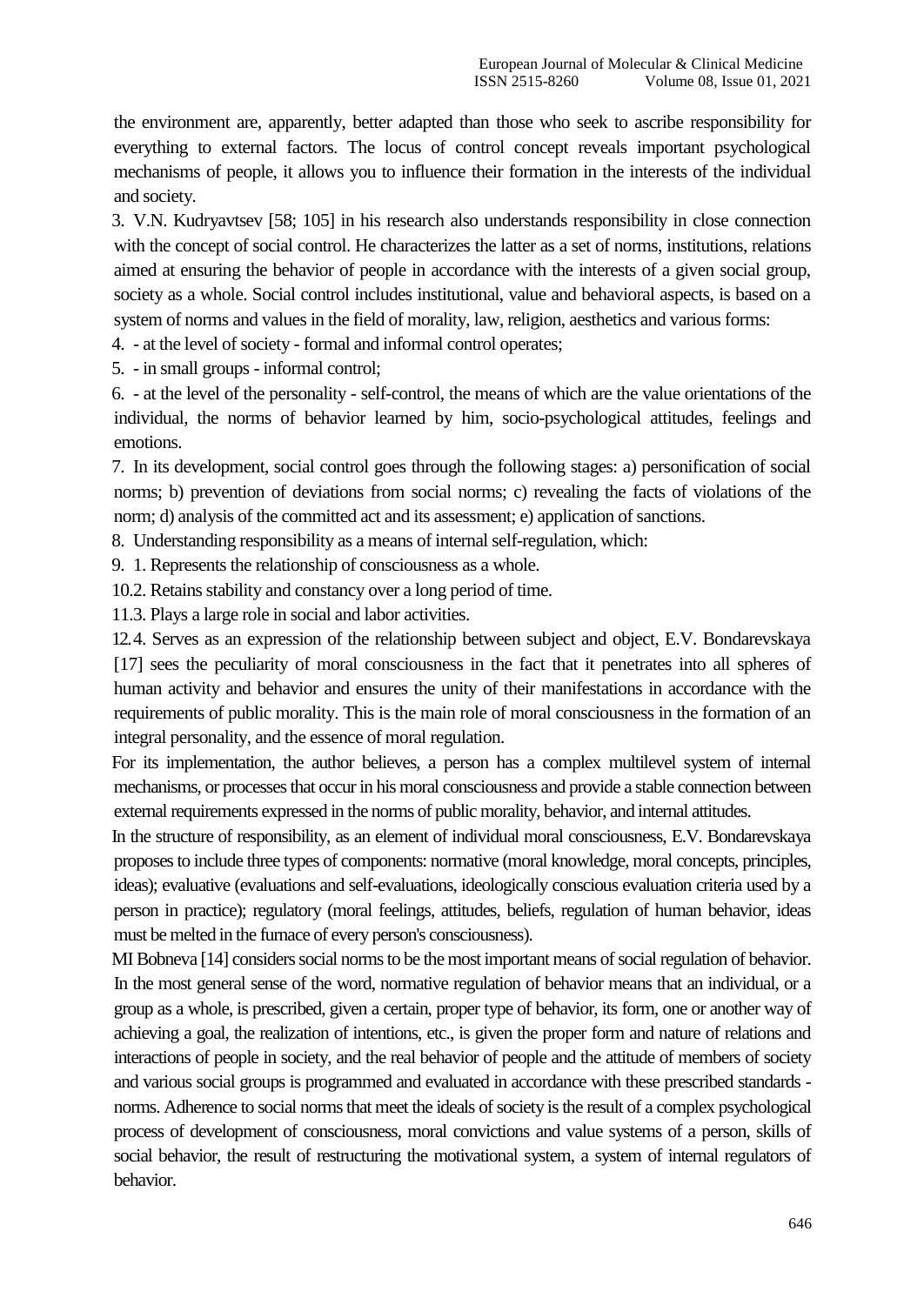the environment are, apparently, better adapted than those who seek to ascribe responsibility for everything to external factors. The locus of control concept reveals important psychological mechanisms of people, it allows you to influence their formation in the interests of the individual and society.

3. V.N. Kudryavtsev [58; 105] in his research also understands responsibility in close connection with the concept of social control. He characterizes the latter as a set of norms, institutions, relations aimed at ensuring the behavior of people in accordance with the interests of a given social group, society as a whole. Social control includes institutional, value and behavioral aspects, is based on a system of norms and values in the field of morality, law, religion, aesthetics and various forms:

4. - at the level of society - formal and informal control operates;

5. - in small groups - informal control;

6. - at the level of the personality - self-control, the means of which are the value orientations of the individual, the norms of behavior learned by him, socio-psychological attitudes, feelings and emotions.

7. In its development, social control goes through the following stages: a) personification of social norms; b) prevention of deviations from social norms; c) revealing the facts of violations of the norm; d) analysis of the committed act and its assessment; e) application of sanctions.

8. Understanding responsibility as a means of internal self-regulation, which:

9. 1. Represents the relationship of consciousness as a whole.

10.2. Retains stability and constancy over a long period of time.

11.3. Plays a large role in social and labor activities.

12.4. Serves as an expression of the relationship between subject and object, E.V. Bondarevskaya [17] sees the peculiarity of moral consciousness in the fact that it penetrates into all spheres of human activity and behavior and ensures the unity of their manifestations in accordance with the requirements of public morality. This is the main role of moral consciousness in the formation of an integral personality, and the essence of moral regulation.

For its implementation, the author believes, a person has a complex multilevel system of internal mechanisms, or processes that occur in his moral consciousness and provide a stable connection between external requirements expressed in the norms of public morality, behavior, and internal attitudes.

In the structure of responsibility, as an element of individual moral consciousness, E.V. Bondarevskaya proposes to include three types of components: normative (moral knowledge, moral concepts, principles, ideas); evaluative (evaluations and self-evaluations, ideologically conscious evaluation criteria used by a person in practice); regulatory (moral feelings, attitudes, beliefs, regulation of human behavior, ideas must be melted in the furnace of every person's consciousness).

MI Bobneva [14] considers social norms to be the most important means of social regulation of behavior. In the most general sense of the word, normative regulation of behavior means that an individual, or a group as a whole, is prescribed, given a certain, proper type of behavior, its form, one or another way of achieving a goal, the realization of intentions, etc., is given the proper form and nature of relations and interactions of people in society, and the real behavior of people and the attitude of members of society and various social groups is programmed and evaluated in accordance with these prescribed standards norms. Adherence to social norms that meet the ideals of society is the result of a complex psychological process of development of consciousness, moral convictions and value systems of a person, skills of social behavior, the result of restructuring the motivational system, a system of internal regulators of behavior.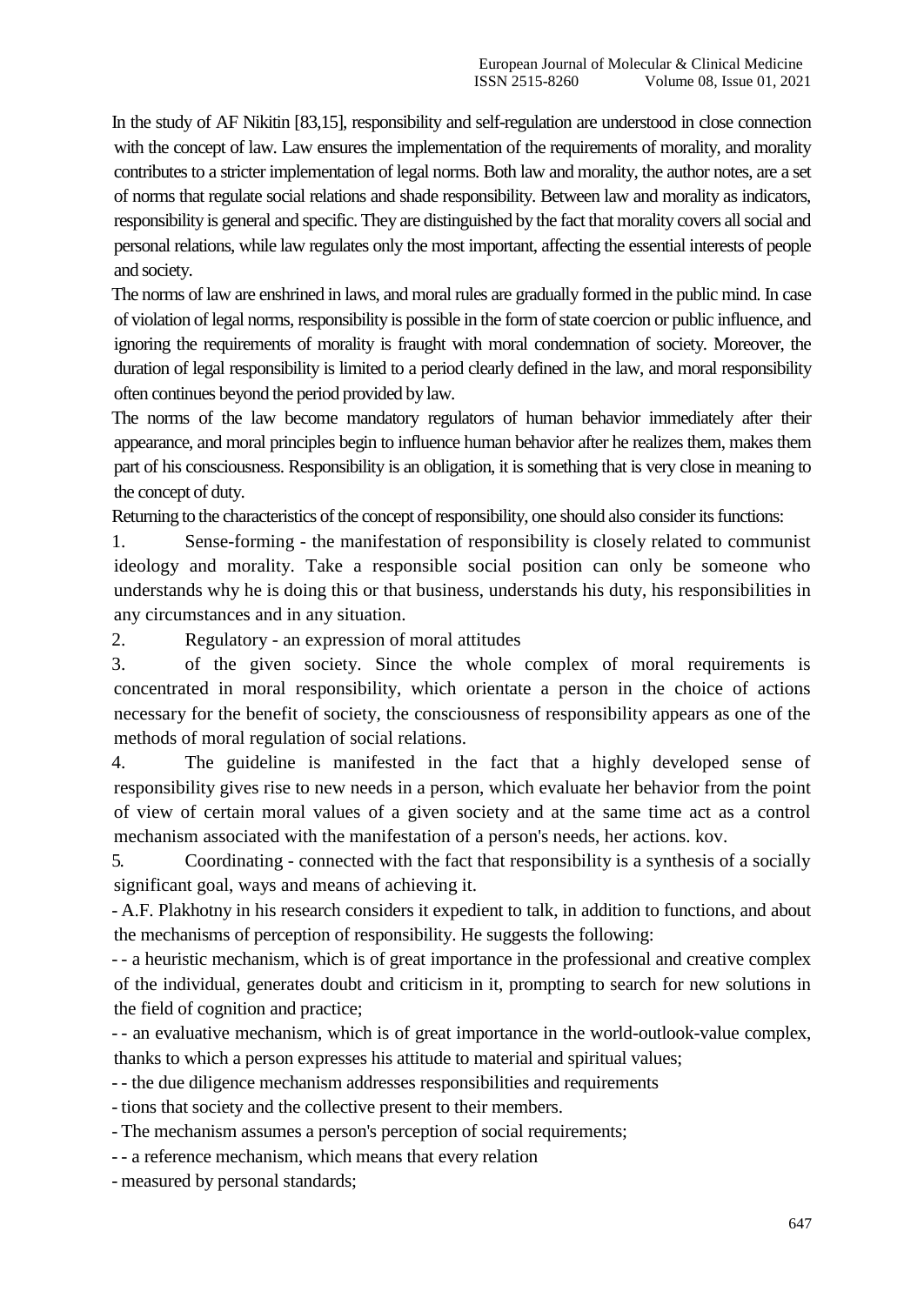In the study of AF Nikitin [83,15], responsibility and self-regulation are understood in close connection with the concept of law. Law ensures the implementation of the requirements of morality, and morality contributes to a stricter implementation of legal norms. Both law and morality, the author notes, are a set of norms that regulate social relations and shade responsibility. Between law and morality as indicators, responsibility is general and specific. They are distinguished by the fact that morality covers all social and personal relations, while law regulates only the most important, affecting the essential interests of people and society.

The norms of law are enshrined in laws, and moral rules are gradually formed in the public mind. In case of violation of legal norms, responsibility is possible in the form of state coercion or public influence, and ignoring the requirements of morality is fraught with moral condemnation of society. Moreover, the duration of legal responsibility is limited to a period clearly defined in the law, and moral responsibility often continues beyond the period provided by law.

The norms of the law become mandatory regulators of human behavior immediately after their appearance, and moral principles begin to influence human behavior after he realizes them, makes them part of his consciousness. Responsibility is an obligation, it is something that is very close in meaning to the concept of duty.

Returning to the characteristics of the concept of responsibility, one should also consider its functions:

1. Sense-forming - the manifestation of responsibility is closely related to communist ideology and morality. Take a responsible social position can only be someone who understands why he is doing this or that business, understands his duty, his responsibilities in any circumstances and in any situation.

2. Regulatory - an expression of moral attitudes

3. of the given society. Since the whole complex of moral requirements is concentrated in moral responsibility, which orientate a person in the choice of actions necessary for the benefit of society, the consciousness of responsibility appears as one of the methods of moral regulation of social relations.

4. The guideline is manifested in the fact that a highly developed sense of responsibility gives rise to new needs in a person, which evaluate her behavior from the point of view of certain moral values of a given society and at the same time act as a control mechanism associated with the manifestation of a person's needs, her actions. kov.

5. Coordinating - connected with the fact that responsibility is a synthesis of a socially significant goal, ways and means of achieving it.

- A.F. Plakhotny in his research considers it expedient to talk, in addition to functions, and about the mechanisms of perception of responsibility. He suggests the following:

- - a heuristic mechanism, which is of great importance in the professional and creative complex of the individual, generates doubt and criticism in it, prompting to search for new solutions in the field of cognition and practice;

- - an evaluative mechanism, which is of great importance in the world-outlook-value complex, thanks to which a person expresses his attitude to material and spiritual values;

- - the due diligence mechanism addresses responsibilities and requirements

- tions that society and the collective present to their members.

- The mechanism assumes a person's perception of social requirements;

- - a reference mechanism, which means that every relation

- measured by personal standards;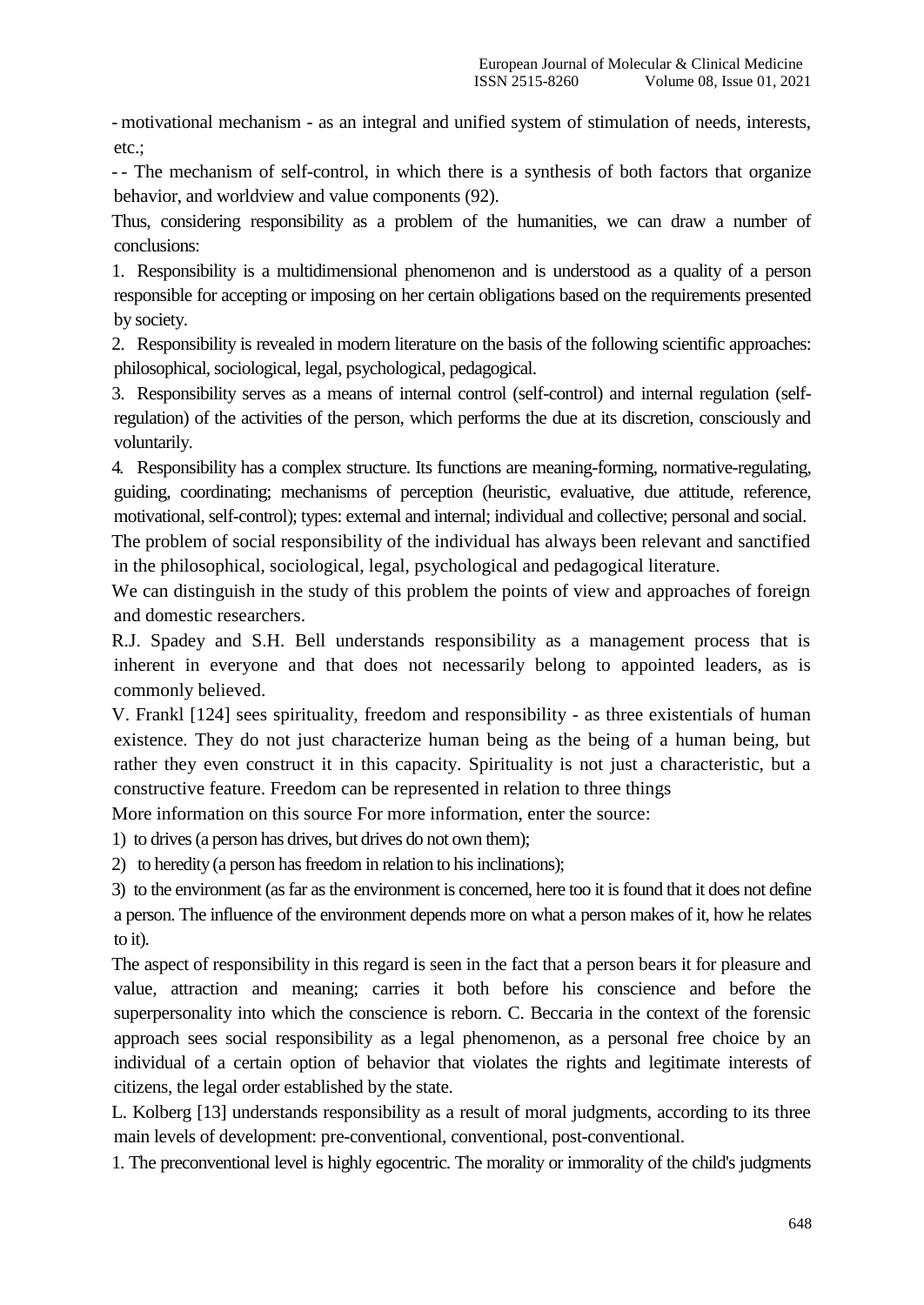- motivational mechanism - as an integral and unified system of stimulation of needs, interests, etc.;

- - The mechanism of self-control, in which there is a synthesis of both factors that organize behavior, and worldview and value components (92).

Thus, considering responsibility as a problem of the humanities, we can draw a number of conclusions:

1. Responsibility is a multidimensional phenomenon and is understood as a quality of a person responsible for accepting or imposing on her certain obligations based on the requirements presented by society.

2. Responsibility is revealed in modern literature on the basis of the following scientific approaches: philosophical, sociological, legal, psychological, pedagogical.

3. Responsibility serves as a means of internal control (self-control) and internal regulation (selfregulation) of the activities of the person, which performs the due at its discretion, consciously and voluntarily.

4. Responsibility has a complex structure. Its functions are meaning-forming, normative-regulating, guiding, coordinating; mechanisms of perception (heuristic, evaluative, due attitude, reference, motivational, self-control); types: external and internal; individual and collective; personal and social.

The problem of social responsibility of the individual has always been relevant and sanctified in the philosophical, sociological, legal, psychological and pedagogical literature.

We can distinguish in the study of this problem the points of view and approaches of foreign and domestic researchers.

R.J. Spadey and S.H. Bell understands responsibility as a management process that is inherent in everyone and that does not necessarily belong to appointed leaders, as is commonly believed.

V. Frankl [124] sees spirituality, freedom and responsibility - as three existentials of human existence. They do not just characterize human being as the being of a human being, but rather they even construct it in this capacity. Spirituality is not just a characteristic, but a constructive feature. Freedom can be represented in relation to three things

More information on this source For more information, enter the source:

1) to drives (a person has drives, but drives do not own them);

2) to heredity (a person has freedom in relation to his inclinations);

3) to the environment (as far as the environment is concerned, here too it is found that it does not define a person. The influence of the environment depends more on what a person makes of it, how he relates to it).

The aspect of responsibility in this regard is seen in the fact that a person bears it for pleasure and value, attraction and meaning; carries it both before his conscience and before the superpersonality into which the conscience is reborn. C. Beccaria in the context of the forensic approach sees social responsibility as a legal phenomenon, as a personal free choice by an individual of a certain option of behavior that violates the rights and legitimate interests of citizens, the legal order established by the state.

L. Kolberg [13] understands responsibility as a result of moral judgments, according to its three main levels of development: pre-conventional, conventional, post-conventional.

1. The preconventional level is highly egocentric. The morality or immorality of the child's judgments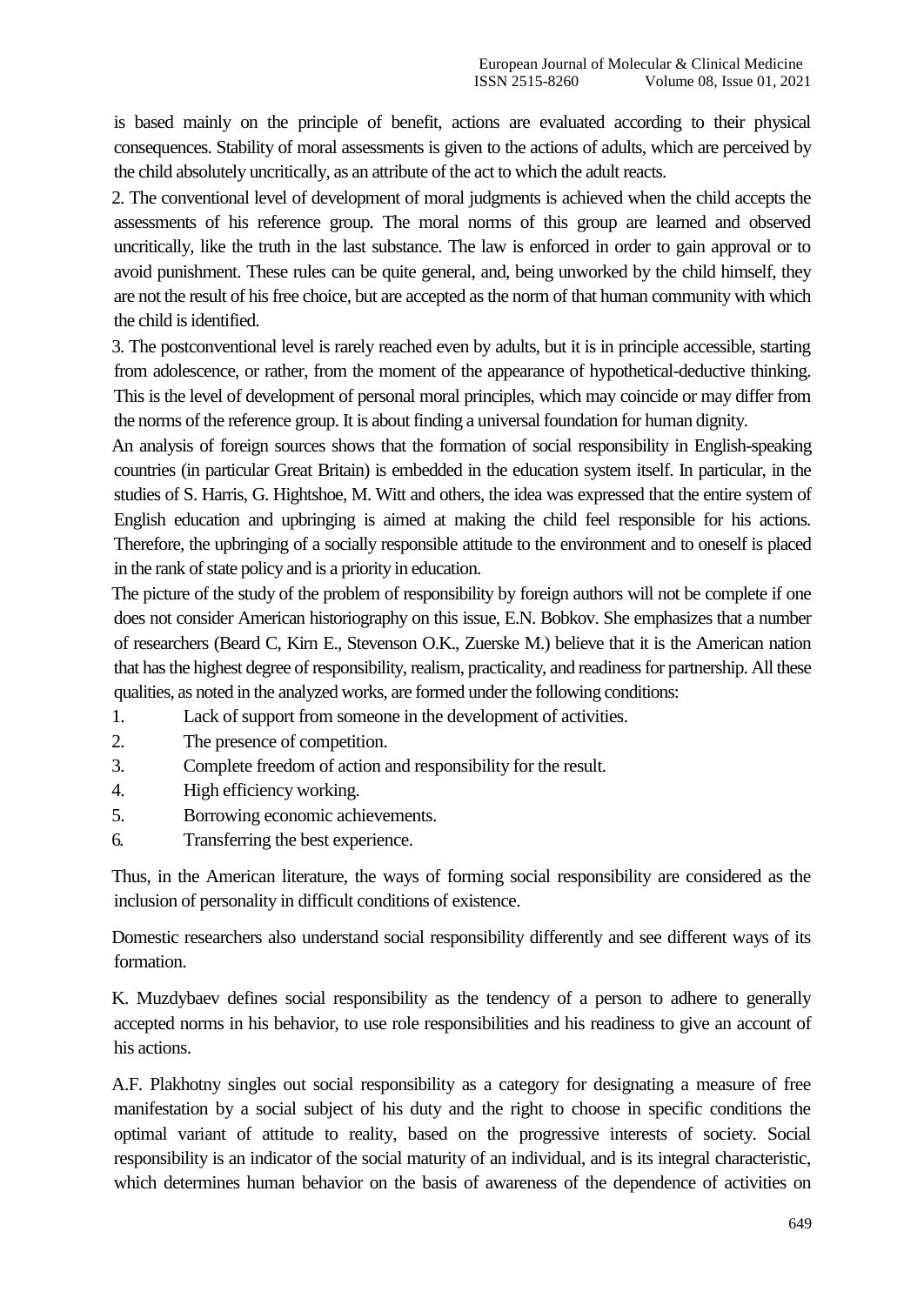is based mainly on the principle of benefit, actions are evaluated according to their physical consequences. Stability of moral assessments is given to the actions of adults, which are perceived by the child absolutely uncritically, as an attribute of the act to which the adult reacts.

2. The conventional level of development of moral judgments is achieved when the child accepts the assessments of his reference group. The moral norms of this group are learned and observed uncritically, like the truth in the last substance. The law is enforced in order to gain approval or to avoid punishment. These rules can be quite general, and, being unworked by the child himself, they are not the result of his free choice, but are accepted as the norm of that human community with which the child is identified.

3. The postconventional level is rarely reached even by adults, but it is in principle accessible, starting from adolescence, or rather, from the moment of the appearance of hypothetical-deductive thinking. This is the level of development of personal moral principles, which may coincide or may differ from the norms of the reference group. It is about finding a universal foundation for human dignity.

An analysis of foreign sources shows that the formation of social responsibility in English-speaking countries (in particular Great Britain) is embedded in the education system itself. In particular, in the studies of S. Harris, G. Hightshoe, M. Witt and others, the idea was expressed that the entire system of English education and upbringing is aimed at making the child feel responsible for his actions. Therefore, the upbringing of a socially responsible attitude to the environment and to oneself is placed in the rank of state policy and is a priority in education.

The picture of the study of the problem of responsibility by foreign authors will not be complete if one does not consider American historiography on this issue, E.N. Bobkov. She emphasizes that a number of researchers (Beard C, Kirn E., Stevenson O.K., Zuerske M.) believe that it is the American nation that has the highest degree of responsibility, realism, practicality, and readiness for partnership. All these qualities, as noted in the analyzed works, are formed under the following conditions:

- 1. Lack of support from someone in the development of activities.
- 2. The presence of competition.
- 3. Complete freedom of action and responsibility for the result.
- 4. High efficiency working.
- 5. Borrowing economic achievements.
- 6. Transferring the best experience.

Thus, in the American literature, the ways of forming social responsibility are considered as the inclusion of personality in difficult conditions of existence.

Domestic researchers also understand social responsibility differently and see different ways of its formation.

K. Muzdybaev defines social responsibility as the tendency of a person to adhere to generally accepted norms in his behavior, to use role responsibilities and his readiness to give an account of his actions.

A.F. Plakhotny singles out social responsibility as a category for designating a measure of free manifestation by a social subject of his duty and the right to choose in specific conditions the optimal variant of attitude to reality, based on the progressive interests of society. Social responsibility is an indicator of the social maturity of an individual, and is its integral characteristic, which determines human behavior on the basis of awareness of the dependence of activities on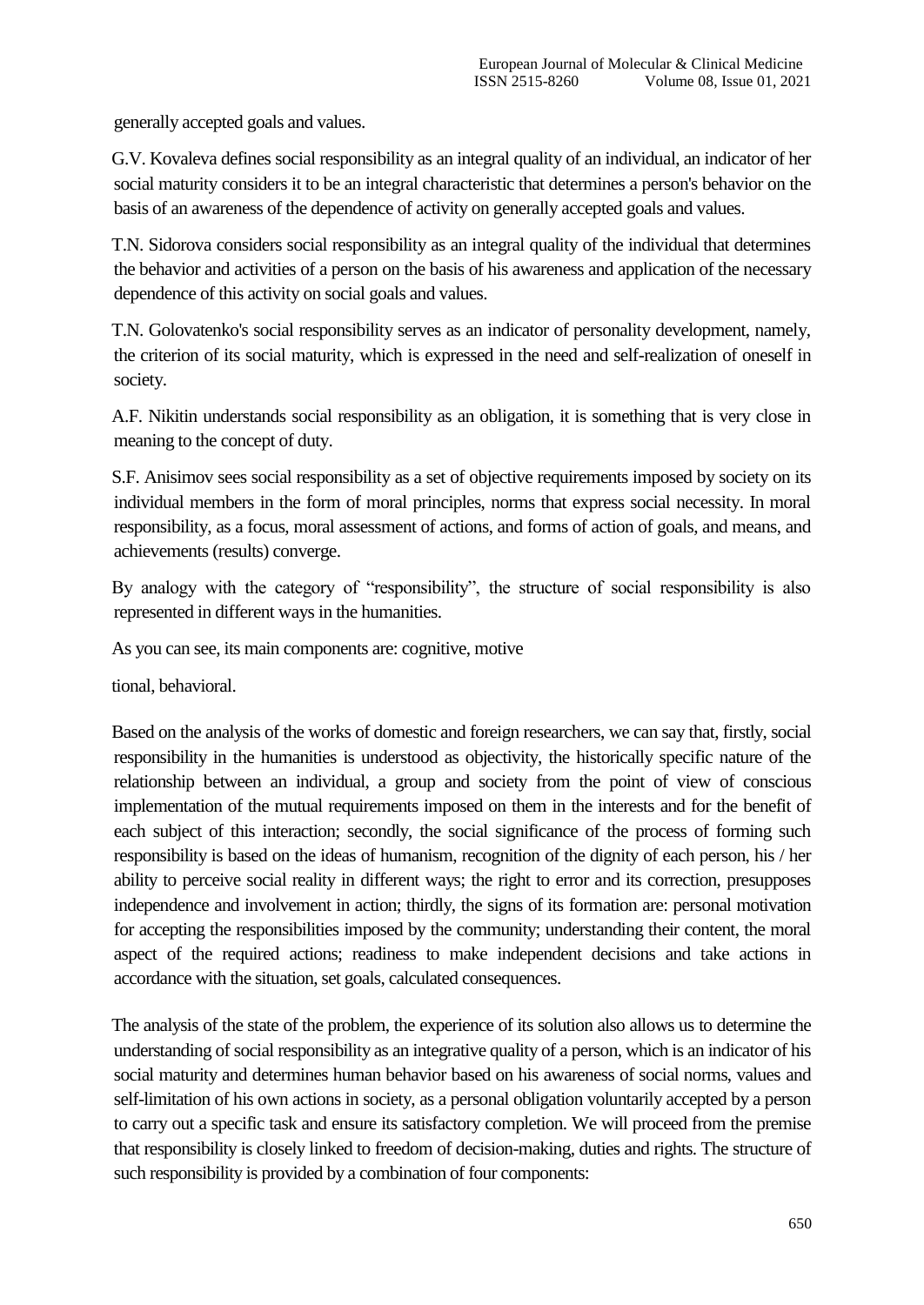generally accepted goals and values.

G.V. Kovaleva defines social responsibility as an integral quality of an individual, an indicator of her social maturity considers it to be an integral characteristic that determines a person's behavior on the basis of an awareness of the dependence of activity on generally accepted goals and values.

T.N. Sidorova considers social responsibility as an integral quality of the individual that determines the behavior and activities of a person on the basis of his awareness and application of the necessary dependence of this activity on social goals and values.

T.N. Golovatenko's social responsibility serves as an indicator of personality development, namely, the criterion of its social maturity, which is expressed in the need and self-realization of oneself in society.

A.F. Nikitin understands social responsibility as an obligation, it is something that is very close in meaning to the concept of duty.

S.F. Anisimov sees social responsibility as a set of objective requirements imposed by society on its individual members in the form of moral principles, norms that express social necessity. In moral responsibility, as a focus, moral assessment of actions, and forms of action of goals, and means, and achievements (results) converge.

By analogy with the category of "responsibility", the structure of social responsibility is also represented in different ways in the humanities.

As you can see, its main components are: cognitive, motive

tional, behavioral.

Based on the analysis of the works of domestic and foreign researchers, we can say that, firstly, social responsibility in the humanities is understood as objectivity, the historically specific nature of the relationship between an individual, a group and society from the point of view of conscious implementation of the mutual requirements imposed on them in the interests and for the benefit of each subject of this interaction; secondly, the social significance of the process of forming such responsibility is based on the ideas of humanism, recognition of the dignity of each person, his / her ability to perceive social reality in different ways; the right to error and its correction, presupposes independence and involvement in action; thirdly, the signs of its formation are: personal motivation for accepting the responsibilities imposed by the community; understanding their content, the moral aspect of the required actions; readiness to make independent decisions and take actions in accordance with the situation, set goals, calculated consequences.

The analysis of the state of the problem, the experience of its solution also allows us to determine the understanding of social responsibility as an integrative quality of a person, which is an indicator of his social maturity and determines human behavior based on his awareness of social norms, values and self-limitation of his own actions in society, as a personal obligation voluntarily accepted by a person to carry out a specific task and ensure its satisfactory completion. We will proceed from the premise that responsibility is closely linked to freedom of decision-making, duties and rights. The structure of such responsibility is provided by a combination of four components: